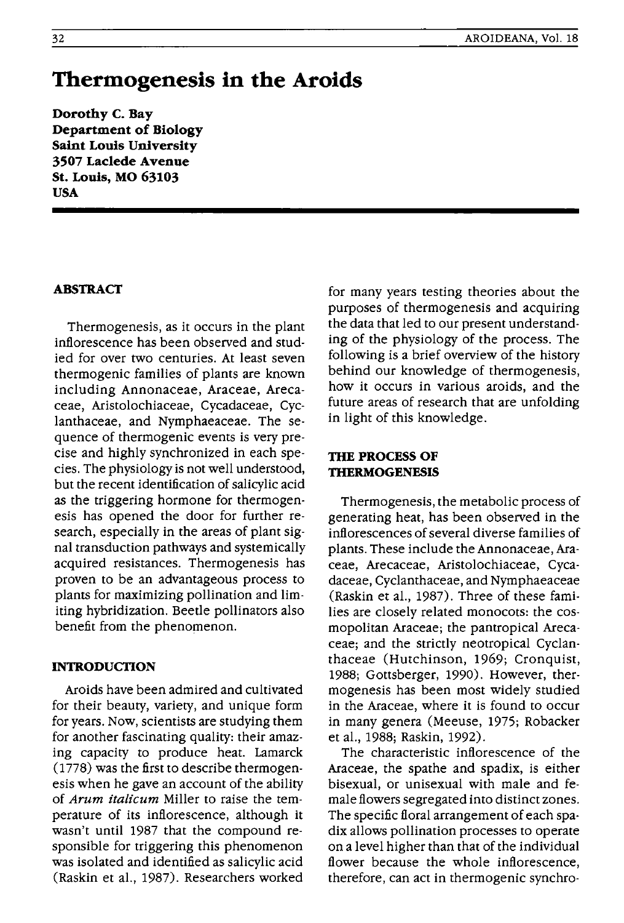# **Thermogenesis in the Aroids**

**Dorothy C. Bay Department of Biology Saint Louis University 3507 Laclede Avenue St. Louis, MO 63103 USA** 

## **ABSTRACT**

Thermogenesis, as it occurs in the plant inflorescence has been observed and studied for over two centuries. At least seven thermogenic families of plants are known including Annonaceae, Araceae, Arecaceae, Aristolochiaceae, Cycadaceae, Cyclanthaceae, and Nymphaeaceae. The sequence of thermogenic events is very precise and highly synchronized in each species. The physiology is not well understood, but the recent identification of salicylic acid as the triggering hormone for thermogenesis has opened the door for further research, especially in the areas of plant signal transduction pathways and systemically acquired resistances. Thermogenesis has proven to be an advantageous process to plants for maximizing pollination and limiting hybridization. Beetle pollinators also benefit from the phenomenon.

## **INTRODUCTION**

Aroids have been admired and cultivated for their beauty, variety, and unique form for years. Now, scientists are studying them for another fascinating quality: their amazing capacity to produce heat. Lamarck (1778) was the first to describe thermogenesis when he gave an account of the ability of *Arum italicum* Miller to raise the temperature of its inflorescence, although it wasn't until 1987 that the compound responsible for triggering this phenomenon was isolated and identified as salicylic acid (Raskin et al., 1987). Researchers worked

for many years testing theories about the purposes of thermogenesis and acquiring the data that led to our present understanding of the physiology of the process. The following is a brief overview of the history behind our knowledge of thermogenesis, how it occurs in various aroids, and the future areas of research that are unfolding in light of this knowledge.

## **THE PROCESS OF THERMOGENESIS**

Thermogenesis, the metabolic process of generating heat, has been observed in the inflorescences of several diverse families of plants. These include the Annonaceae, Araceae, Arecaceae, Aristolochiaceae, Cycadaceae, Cyclanthaceae, and Nymphaeaceae (Raskin et al., 1987). Three of these families are closely related monocots: the cosmopolitan Araceae; the pantropical Arecaceae; and the strictly neotropical Cyclanthaceae (Hutchinson, 1969; Cronquist, 1988; Gottsberger, 1990). However, thermogenesis has been most widely studied in the Araceae, where it is found to occur in many genera (Meeuse, 1975; Robacker et al., 1988; Raskin, 1992).

The characteristic inflorescence of the Araceae, the spathe and spadix, is either bisexual, or unisexual with male and female flowers segregated into distinct zones. The specific floral arrangement of each spadix allows pollination processes to operate on a level higher than that of the individual flower because the whole inflorescence, therefore, can act in thermogenic synchro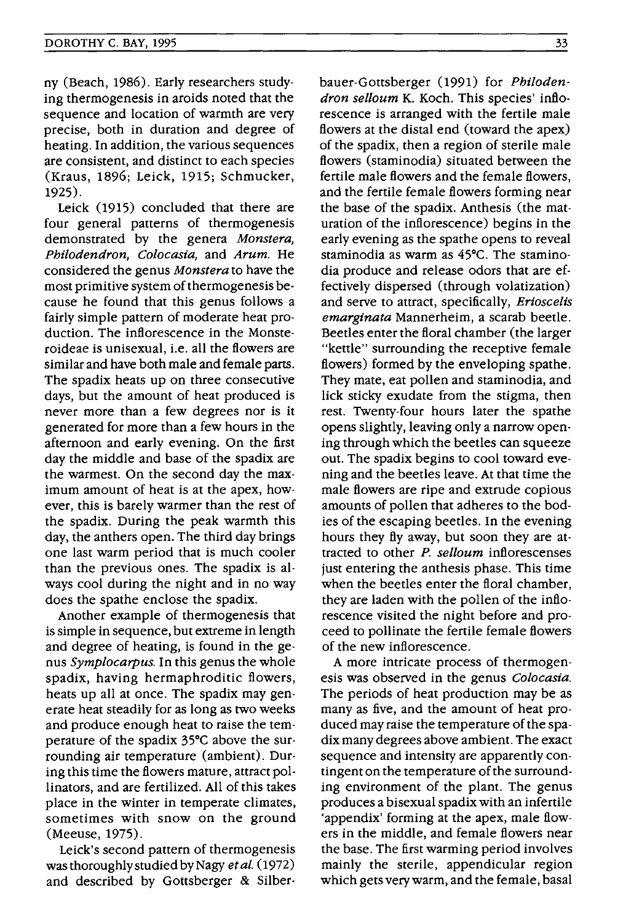ny (Beach, 1986). Early researchers studying thermogenesis in aroids noted that the sequence and location of warmth are very precise, both in duration and degree of heating. In addition, the various sequences are consistent, and distinct to each species (Kraus, 1896; Leick, 1915; Schmucker, 1925).

Leick (1915) concluded that there are four general patterns of thermogenesis demonstrated by the genera *Monstera, Philodendron, Colocasia,* and *Arum.* He considered the genus *Monstera* to have the most primitive system of thermogenesis because he found that this genus follows a fairly simple pattern of moderate heat production. The inflorescence in the Monsteroideae is unisexual, i.e. all the flowers are similar and have both male and female parts. The spadix heats up on three consecutive days, but the amount of heat produced is never more than a few degrees nor is it generated for more than a few hours in the afternoon and early evening. On the first day the middle and base of the spadix are the warmest. On the second day the maximum amount of heat is at the apex, however, this is barely warmer than the rest of the spadix. During the peak warmth this day, the anthers open. The third day brings one last warm period that is much cooler than the previous ones. The spadix is always cool during the night and in no way does the spathe enclose the spadix.

Another example of thermogenesis that is simple in sequence, but extreme in length and degree of heating, is found in the genus *Symplocarpus.* In this genus the whole spadix, having hermaphroditic flowers, heats up all at once. The spadix may generate heat steadily for as long as two weeks and produce enough heat to raise the temperature of the spadix 35°C above the surrounding air temperature (ambient). During this time the flowers mature, attract pollinators, and are fertilized. All of this takes place in the winter in temperate climates, sometimes with snow on the ground (Meeuse, 1975).

Leick's second pattern of thermogenesis was thoroughly studied by Nagy *etal. (1972)*  and described by Gottsberger & Silberbauer-Gottsberger (1991) for *Philodendron selloum* K. Koch. This species' inflorescence is arranged with the fertile male flowers at the distal end (toward the apex) of the spadix, then a region of sterile male flowers (staminodia) situated between the fertile male flowers and the female flowers, and the fertile female flowers forming near the base of the spadix. Anthesis (the maturation of the inflorescence) begins in the early evening as the spathe opens to reveal staminodia as warm as 45°C. The staminodia produce and release odors that are effectively dispersed (through volatization) and serve to attract, specifically, *Erioscelis emarginata* Mannerheim, a scarab beetle. Beetles enter the floral chamber (the larger "kettle" surrounding the receptive female flowers) formed by the enveloping spathe. They mate, eat pollen and staminodia, and lick sticky exudate from the stigma, then rest. Twenty-four hours later the spathe opens slightly, leaving only a narrow opening through which the beetles can squeeze out. The spadix begins to cool toward evening and the beetles leave. At that time the male flowers are ripe and extrude copious amounts of pollen that adheres to the bodies of the escaping beetles. In the evening hours they fly away, but soon they are attracted to other P. *selloum* inflorescenses just entering the anthesis phase. This time when the beetles enter the floral chamber, they are laden with the pollen of the inflorescence visited the night before and proceed to pollinate the fertile female flowers of the new inflorescence.

A more intricate process of thermogenesis was observed in the genus *Colocasia.*  The periods of heat production may be as many as five, and the amount of heat produced may raise the temperature of the spadix many degrees above ambient. The exact sequence and intensity are apparently contingent on the temperature of the surrounding environment of the plant. The genus produces a bisexual spadix with an infertile 'appendix' forming at the apex, male flowers in the middle, and female flowers near the base. The first warming period involves mainly the sterile, appendicular region which gets very warm, and the female, basal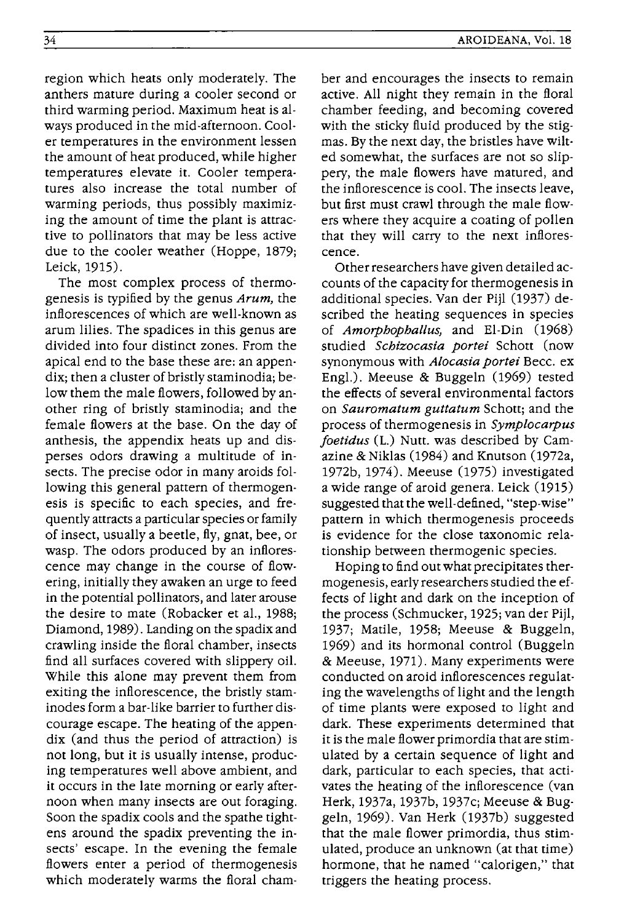region which heats only moderately. The anthers mature during a cooler second or third warming period. Maximum heat is always produced in the mid-afternoon. Cooler temperatures in the environment lessen the amount of heat produced, while higher temperatures elevate it. Cooler temperatures also increase the total number of warming periods, thus possibly maximizing the amount of time the plant is attractive to pollinators that may be less active due to the cooler weather (Hoppe, 1879; Leick, 1915).

The most complex process of thermogenesis is typified by the genus *Arum,* the inflorescences of which are well-known as arum lilies. The spadices in this genus are divided into four distinct zones. From the apical end to the base these are: an appendix; then a cluster of bristly staminodia; below them the male flowers, followed byanother ring of bristly staminodia; and the female flowers at the base. On the day of anthesis, the appendix heats up and disperses odors drawing a multitude of insects. The precise odor in many aroids following this general pattern of thermogenesis is specific to each species, and frequentlyattracts a particular species or family of insect, usually a beetle, fly, gnat, bee, or wasp. The odors produced by an inflorescence may change in the course of flowering, initially they awaken an urge to feed in the potential pollinators, and later arouse the desire to mate (Robacker et aI., 1988; Diamond, 1989). Landing on the spadix and crawling inside the floral chamber, insects find all surfaces covered with slippery oil. While this alone may prevent them from exiting the inflorescence, the bristly staminodes form a bar-like barrier to further discourage escape. The heating of the appendix (and thus the period of attraction) is not long, but it is usually intense, producing temperatures well above ambient, and it occurs in the late morning or early afternoon when many insects are out foraging. Soon the spadix cools and the spathe tightens around the spadix preventing the insects' escape. In the evening the female flowers enter a period of thermogenesis which moderately warms the floral cham-

ber and encourages the insects to remain active. All night they remain in the floral chamber feeding, and becoming covered with the sticky fluid produced by the stigmas. By the next day, the bristles have wilted somewhat, the surfaces are not so slippery, the male flowers have matured, and the inflorescence is cool. The insects leave, but first must crawl through the male flowers where they acquire a coating of pollen that they will carry to the next inflorescence.

Other researchers have given detailed accounts of the capacity for thermogenesis in additional species. Van der Pijl (1937) described the heating sequences in species of *Amorphophallus,* and EI-Din (1968) studied *Schizocasia portei* Schott (now synonymous with *Alocasia portei* Becc. ex Engl.). Meeuse & Buggeln (1969) tested the effects of several environmental factors on *Sauromatum guttatum* Schott; and the process of thermogenesis in *Symplocarpus joetidus* (L.) Nutt. was described by Camazine & Niklas (1984) and Knutson (1972a, 1972b, 1974). Meeuse (1975) investigated a wide range of aroid genera. Leick (1915) suggested that the well-defined, "step-wise" pattern in which thermogenesis proceeds is evidence for the close taxonomic relationship between thermogenic species.

Hoping to find out what precipitates thermogenesis, early researchers studied the effects of light and dark on the inception of the process (Schmucker, 1925; van der Pijl, 1937; Matile, 1958; Meeuse & Buggeln, 1969) and its hormonal control (Buggeln & Meeuse, 1971). Many experiments were conducted on aroid inflorescences regulating the wavelengths of light and the length of time plants were exposed to light and dark. These experiments determined that it is the male flower primordia that are stimulated by a certain sequence of light and dark, particular to each species, that activates the heating of the inflorescence (van Herk, 1937a, 1937b, 1937c; Meeuse & Buggeln, 1969). Van Herk (1937b) suggested that the male flower primordia, thus stimulated, produce an unknown (at that time) hormone, that he named "calorigen," that triggers the heating process.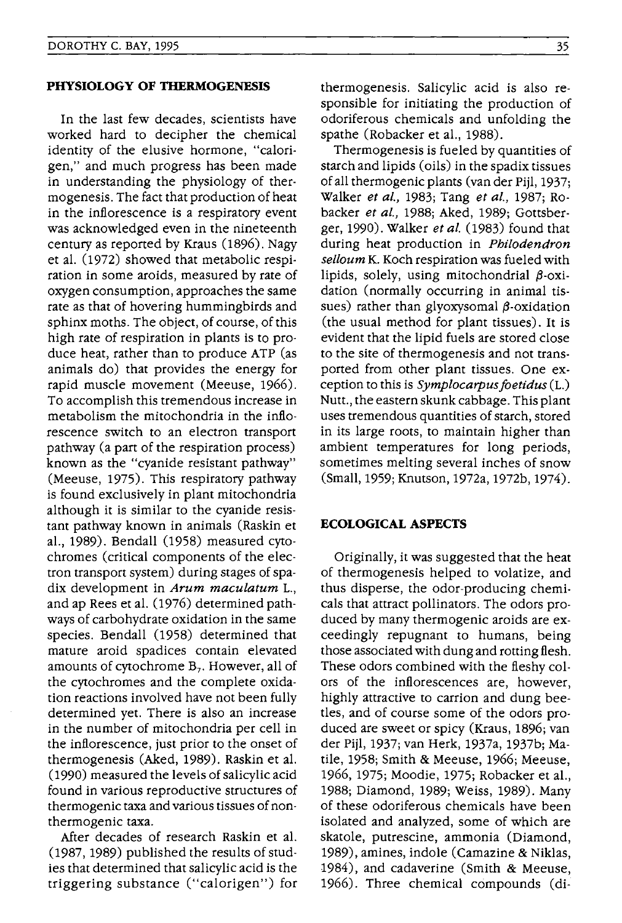#### **PHYSIOLOGY OF THERMOGENESIS**

In the last few decades, scientists have worked hard to decipher the chemical identity of the elusive hormone, "calori· gen," and much progress has been made in understanding the physiology of thermogenesis. The fact that production of heat in the inflorescence is a respiratory event was acknowledged even in the nineteenth century as reported by Kraus (1896). Nagy et al. (1972) showed that metabolic respiration in some aroids, measured by rate of oxygen consumption, approaches the same rate as that of hovering hummingbirds and sphinx moths. The object, of course, of this high rate of respiration in plants is to produce heat, rather than to produce ATP (as animals do) that provides the energy for rapid muscle movement (Meeuse, 1966). To accomplish this tremendous increase in metabolism the mitochondria in the inflorescence switch to an electron transport pathway (a part of the respiration process) known as the "cyanide resistant pathway" (Meeuse, 1975). This respiratory pathway is found exclusively in plant mitochondria although it is similar to the cyanide resistant pathway known in animals (Raskin et aI., 1989). Bendall (1958) measured cytochromes (critical components of the electron transport system) during stages of spadix development in *Arum maculatum* L., and ap Rees et al. (1976) determined pathways of carbohydrate oxidation in the same species. Bendall (1958) determined that mature aroid spadices contain elevated amounts of cytochrome  $B_7$ . However, all of the cytochromes and the complete oxidation reactions involved have not been fully determined yet. There is also an increase in the number of mitochondria per cell in the inflorescence, just prior to the onset of thermogenesis (Aked, 1989). Raskin et al. (1990) measured the levels of salicylic acid found in various reproductive structures of thermogenic taxa and various tissues of nonthermogenic taxa.

After decades of research Raskin et al. (1987, 1989) published the results of studies that determined that salicylic acid is the triggering substance ("calorigen") for thermogenesis. Salicylic acid is also responsible for initiating the production of odoriferous chemicals and unfolding the spathe (Robacker et aI., 1988).

Thermogenesis is fueled by quantities of starch and lipids (oils) in the spadix tissues of all thermogenic plants (van der Pijl, 1937; Walker *et al.,* 1983; Tang *et al.,* 1987; Robacker *et al.,* 1988; Aked, 1989; Gottsberger, 1990). Walker *et al.* (1983) found that during heat production in *Philodendron selloum* K. Koch respiration was fueled with lipids, solely, using mitochondrial  $\beta$ -oxidation (normally occurring in animal tissues) rather than glyoxysomal  $\beta$ -oxidation (the usual method for plant tissues). It is evident that the lipid fuels are stored close to the site of thermogenesis and not transported from other plant tissues. One exception to this is *Symplocarpusfoetidus(L.)*  Nutt., the eastern skunk cabbage. This plant uses tremendous quantities of starch, stored in its large roots, to maintain higher than ambient temperatures for long periods, sometimes melting several inches of snow (Small, 1959; Knutson, 1972a, 1972b, 1974).

#### **ECOLOGICAL ASPECTS**

Originally, it was suggested that the heat of thermogenesis helped to volatize, and thus disperse, the odor-producing chemicals that attract pollinators. The odors produced by many thermogenic aroids are exceedingly repugnant to humans, being those associated with dung and rotting flesh. These odors combined with the fleshy colors of the inflorescences are, however, highly attractive to carrion and dung beetles, and of course some of the odors produced are sweet or spicy (Kraus, 1896; van der Pijl, 1937; van Herk, 1937a, 1937b; Matile, 1958; Smith & Meeuse, 1966; Meeuse, 1966, 1975; Moodie, 1975; Robacker et aI., 1988; Diamond, 1989; Weiss, 1989). Many of these odoriferous chemicals have been isolated and analyzed, some of which are skatole, putrescine, ammonia (Diamond, 1989), amines, indole (Camazine & Niklas, 1984), and cadaverine (Smith & Meeuse, 1966). Three chemical compounds (di-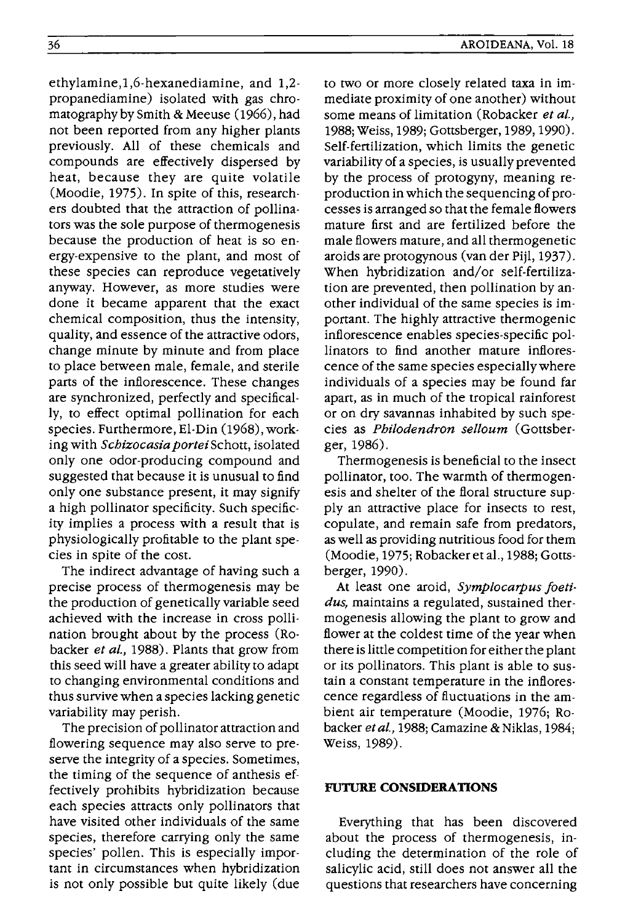ethylamine,I,6-hexanediamine, and 1,2 propanediamine) isolated with gas chromatography by Smith & Meeuse (1966), had not been reported from any higher plants previously. All of these chemicals and compounds are effectively dispersed by heat, because they are quite volatile (Moodie, 1975). In spite of this, researchers doubted that the attraction of pollinators was the sole purpose of thermogenesis because the production of heat is so energy-expensive to the plant, and most of these species can reproduce vegetatively anyway. However, as more studies were done it became apparent that the exact chemical composition, thus the intensity, quality, and essence of the attractive odors, change minute by minute and from place to place between male, female, and sterile parts of the inflorescence. These changes are synchronized, perfectly and specifically, to effect optimal pollination for each species. Furthermore, El-Din (1968), working with *Schizocasia portei* Schott, isolated only one odor-producing compound and suggested that because it is unusual to find only one substance present, it may signify a high pollinator specificity. Such specificity implies a process with a result that is physiologically profitable to the plant species in spite of the cost.

The indirect advantage of having such a precise process of thermogenesis may be the production of genetically variable seed achieved with the increase in cross pollination brought about by the process (Robacker *et at.,* 1988). Plants that grow from this seed will have a greater ability to adapt to changing environmental conditions and thus survive when a species lacking genetic variability may perish.

The precision of pollinator attraction and flowering sequence may also serve to preserve the integrity of a species. Sometimes, the timing of the sequence of anthesis effectively prohibits hybridization because each species attracts only pollinators that have visited other individuals of the same species, therefore carrying only the same species' pollen. This is especially important in circumstances when hybridization is not only possible but quite likely (due

to two or more closely related taxa in immediate proximity of one another) without some means of limitation (Robacker *et at.,*  1988; Weiss, 1989; Gottsberger, 1989, 1990). Self-fertilization, which limits the genetic variability of a species, is usually prevented by the process of protogyny, meaning reproduction in which the sequencing of processes is arranged so that the female flowers mature first and are fertilized before the male flowers mature, and all thermogenetic aroids are protogynous (van der Pijl, 1937). When hybridization and/or self-fertilization are prevented, then pollination by another individual of the same species is important. The highly attractive thermogenic inflorescence enables species-specific pollinators to find another mature inflorescence of the same species especially where individuals of a species may be found far apart, as in much of the tropical rainforest or on dry savannas inhabited by such species as *Philodendron selloum* (Gottsberger, 1986).

Thermogenesis is beneficial to the insect pollinator, too. The warmth of thermogenesis and shelter of the floral structure supply an attractive place for insects to rest, copulate, and remain safe from predators, as well as providing nutritious food for them (Moodie, 1975; Robackeretal., 1988; Gottsberger, 1990).

At least one aroid, *Symplocarpus foetidus,* maintains a regulated, sustained thermogenesis allowing the plant to grow and flower at the coldest time of the year when there is little competition for either the plant or its pollinators. This plant is able to sustain a constant temperature in the inflorescence regardless of fluctuations in the ambient air temperature (Moodie, 1976; Robacker *etal.,* 1988; Camazine & Niklas, 1984; Weiss, 1989).

## **FUTURE CONSIDERATIONS**

Everything that has been discovered about the process of thermogenesis, including the determination of the role of salicylic acid, still does not answer all the questions that researchers have concerning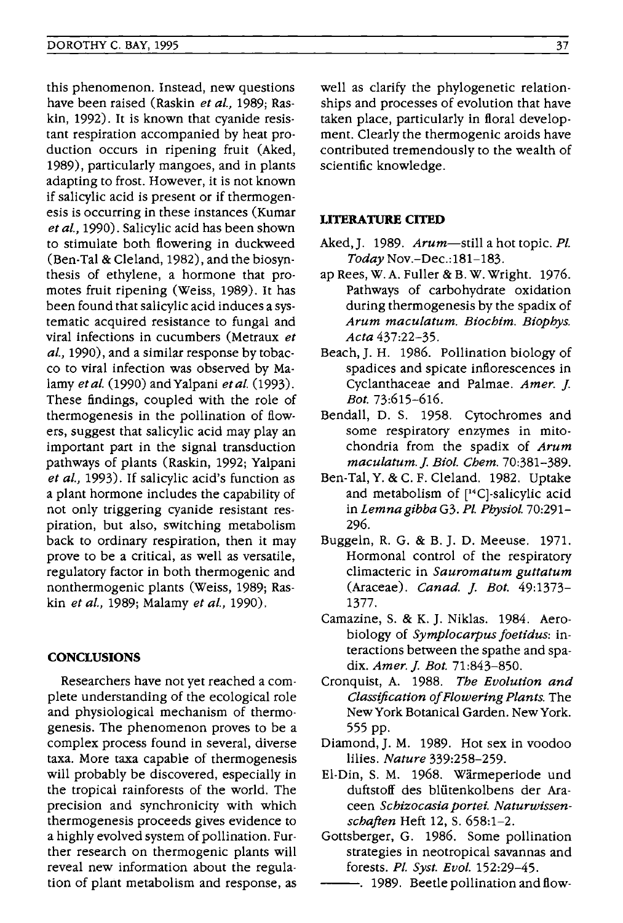this phenomenon. Instead, new questions have been raised (Raskin *et al.,* 1989; Raskin, 1992). It is known that cyanide resistant respiration accompanied by heat production occurs in ripening fruit (Aked, 1989), particularly mangoes, and in plants adapting to frost. However, it is not known if salicylic acid is present or if thermogenesis is occurring in these instances (Kumar *et al.,* 1990). Salicylic acid has been shown to stimulate both flowering in duckweed (Ben-Tal & Cleland, 1982), and the biosynthesis of ethylene, a hormone that promotes fruit ripening (Weiss, 1989). It has been found that salicylic acid induces a systematic acquired resistance to fungal and viral infections in cucumbers (Metraux *et al.,* 1990), and a similar response by tobacco to viral infection was observed by Malamy *etal.* (1990) andYalpani *etal. (1993).*  These findings, coupled with the role of thermogenesis in the pollination of flowers, suggest that salicylic acid may play an important part in the signal transduction pathways of plants (Raskin, 1992; Yalpani *et al.,* 1993). If salicylic acid's function as a plant hormone includes the capability of not only triggering cyanide resistant respiration, but also, switching metabolism back to ordinary respiration, then it may prove to be a critical, as well as versatile, regulatory factor in both thermogenic and nonthermogenic plants (Weiss, 1989; Raskin *et al.,* 1989; Malamy *et al., 1990).* 

## **CONCLUSIONS**

Researchers have not yet reached a complete understanding of the ecological role and physiological mechanism of thermogenesis. The phenomenon proves to be a complex process found in several, diverse taxa. More taxa capable of thermogenesis will probably be discovered, especially in the tropical rainforests of the world. The precision and synchronicity with which thermogenesis proceeds gives evidence to a highly evolved system of pollination. Further research on thermogenic plants will reveal new information about the regulation of plant metabolism and response, as

well as clarify the phylogenetic relationships and processes of evolution that have taken place, particularly in floral development. Clearly the thermogenic aroids have contributed tremendously to the wealth of scientific knowledge.

## **LITERATURE CITED**

- Aked,]. 1989. *Arum-still* a hot topic. *PI. Today* Nov.-Dec.:181-183.
- ap Rees, W. A. Fuller & B. W. Wright. 1976. Pathways of carbohydrate oxidation during thermogenesis by the spadix of *Arum maculatum. Biochim. Biophys. Acta 437:22-35.*
- Beach, J. H. 1986. Pollination biology of spadices and spicate inflorescences in Cyclanthaceae and Palmae. *Amer.* ]. *Bot. 73:615-616.*
- Bendall, D. S. 1958. Cytochromes and some respiratory enzymes in mitochondria from the spadix of *Arum maculatum.]. Bioi. Chem. 70:381-389.*
- Ben-Tal, Y. & c. F. Cleland. 1982. Uptake and metabolism of [14C)-salicylic acid in *Lemnagibba* G3. *PI. Physiol. 70:291-* 296.
- Buggeln, R. G. & B. ]. D. Meeuse. 1971. Hormonal control of the respiratory climacteric in *Sauromatum guttatum*  (Araceae). *Canad.* ]. *Bot. 49:1373-* 1377.
- Camazine, S. & K. J. Niklas. 1984. Aerobiology of *Symplocarpus foetidus:* interactions between the spathe and spadix. *Amer.]. Bot. 71:843-850.*
- Cronquist, A. 1988. *The Evolution and Classification of Flowering Plants.* The New York Botanical Garden. NewYork. 555 pp.
- Diamond, J. M. 1989. Hot sex in voodoo lilies. *Nature 339:258-259.*
- EI-Din, S. M. 1968. Warmeperiode und duftstoff des blütenkolbens der Araceen *Schizocasia portei. Naturwissenschaften* Heft 12, S. 658:1-2.
- Gottsberger, G. 1986. Some pollination strategies in neotropical savannas and forests. *PI. Syst. Evol. 152:29-45.*
- -. 1989. Beetle pollination and flow-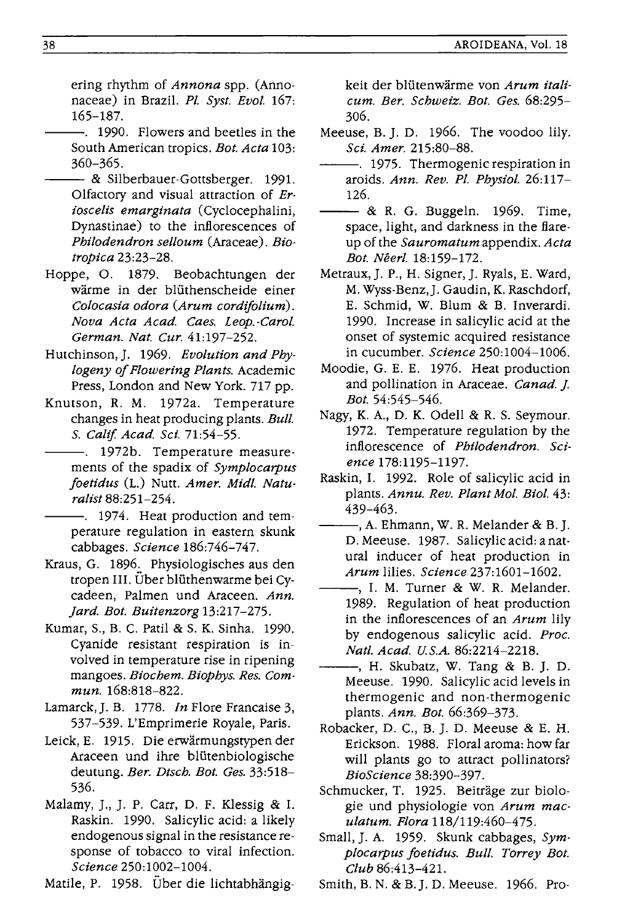ering rhythm of *Annona* spp. (Annonaceae) in Brazil. *Pl. Syst. Evol. 167:*  165-187.

- -. 1990. Flowers and beetles in the South American tropics. *Bot. Acta 103:*  360-365.
- -- & Silberbauer-Gottsberger. 1991. Olfactory and visual attraction of *Erioscelis emarginata* (Cyclocephalini, Dynastinae) to the inflorescences of *Philodendron selloum* (Araceae). *Biotropica 23:23-28.*
- Hoppe, O. 1879. Beobachtungen der warme in der bliithenscheide einer *Colocasia odora (Arum cordifolium). Nova Acta Acad. Caes. Leop. -Carol. German. Nat. Cur.* 41:197-252.
- Hutchinson,]. 1969. *Evolution and Phylogeny of Flowering Plants.* Academic Press, London and New York. 717 pp.
- Knutson, R. M. 1972a. Temperature changes in heat producing plants. *Bull.*  S. *Calif Acad. Sci. 71:54-55.* 
	- 1972b. Temperature measurements of the spadix of *Symplocarpus foetidus* (L.) Nutt. *Amer. Midi. Naturalist 88:251-254.* 
		- -. 1974. Heat production and temperature regulation in eastern skunk cabbages. *Science 186:746-747.*
- Kraus, G. 1896. Physiologisches aus den tropen III. Uber bliithenwarme bei Cycadeen, Palmen und Araceen. *Ann. Jard. Bot. Buitenzorg 13:217-275.*
- Kumar, S., B. C. Patil & S. K. Sinha. 1990. Cyanide resistant respiration is involved in temperature rise in ripening mangoes. *Biochem. Biophys. Res. Commun. 168:818-822.*
- Lamarck, J. B. 1778. *In* Flore Francaise 3, 537-539. L'Emprimerie Royale, Paris.
- Leick, E. 1915. Die erwarmungstypen der Araceen und ihre bliitenbiologische deutung. *Ber. Dtsch. Bot. Ges. 33:518-* 536.
- Malamy, ]., ]. P. Carr, D. F. Klessig & I. Raskin. 1990. Salicylic acid: a likely endogenous signal in the resistance response of tobacco to viral infection. *Science 250:1002-1004.*

Matile, P. 1958. Über die lichtabhängig-

keit der bliitenwarme von *Arum* itali~ *cum. Ber. Schweiz. Bot. Ges. 68:295-* 306.

- Meeuse, B.]. D. 1966. The voodoo lily. *Sci. Amer. 215:80-88.*
- --. 1975. Thermogenic respiration in aroids. *Ann. Rev. Pl. Physiol. 26:117-* -- & R. G. Buggeln. 1969. Time, 126.
- space, light, and darkness in the flareup of the *Sauromatum* appendix. *Acta Bot. Neerl. 18:159-172.*
- Metraux,]. P., H. Signer,]. Ryals, E. Ward, M. Wyss-Benz,]. Gaudin, K. Raschdorf, E. Schmid, W. Blum & B. Inverardi. 1990. Increase in salicylic acid at the onset of systemic acquired resistance in cucumber. *Science 250:1004-1006.*
- Moodie, G. E. E. 1976. Heat production and pollination in Araceae. *Canad.* f-*Bot. 54:545-546.*
- Nagy, K. A., D. K. Odell & R. S. Seymour. 1972. Temperature regulation by the inflorescence of *Philodendron. Science 178:1195-1197.*
- Raskin, I. 1992. Role of salicylic acid in plants. *Annu. Rev. Plant Mol. Bioi.* 43: 439-463.
- --, A. Ehmann, W. R. Melander & B.]. D. Meeuse. 1987. Salicylic acid: a natural inducer of heat production in *Arum* lilies. *Science 237:1601-1602.*
- --, I. M. Turner & W. R. Melander. 1989. Regulation of heat production in the inflorescences of an *Arum* lily by endogenous salicylic acid. *Proc. Natl. Acad. U.S.A. 86:2214-2218.*
- --, H. Skubatz, W. Tang & B. ]. D. Meeuse. 1990. Salicylic acid levels in thermogenic and non-thermogenic plants. *Ann. Bot. 66:369-373.*
- Robacker, D. C., B. ]. D. Meeuse & E. H. Erickson. 1988. Floral aroma: how far will plants go to attract pollinators? *BioScience 38:390-397.*
- Schmucker, T. 1925. Beiträge zur biologie und physiologie von *Arum maculatum. Flora 118/119:460-475.*
- Small, ]. A. 1959. Skunk cabbages, *Symplocarpus foetidus. Bull. Torrey Bot. Club* 86:413-42l.
- Smith, B. N. & B.]. D. Meeuse. 1966. Pro-